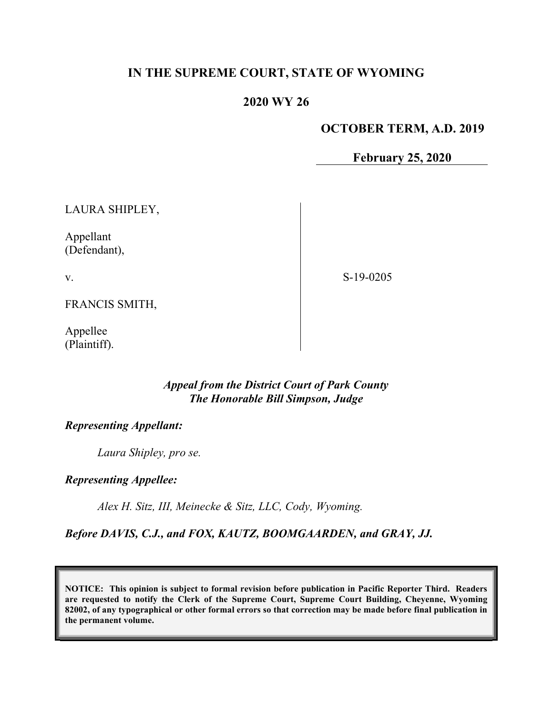# IN THE SUPREME COURT, STATE OF WYOMING

# 2020 WY 26

#### OCTOBER TERM, A.D. 2019

February 25, 2020

LAURA SHIPLEY,

Appellant (Defendant),

v.

S-19-0205

FRANCIS SMITH,

Appellee (Plaintiff).

## Appeal from the District Court of Park County The Honorable Bill Simpson, Judge

## Representing Appellant:

Laura Shipley, pro se.

### Representing Appellee:

Alex H. Sitz, III, Meinecke & Sitz, LLC, Cody, Wyoming.

### Before DAVIS, C.J., and FOX, KAUTZ, BOOMGAARDEN, and GRAY, JJ.

NOTICE: This opinion is subject to formal revision before publication in Pacific Reporter Third. Readers are requested to notify the Clerk of the Supreme Court, Supreme Court Building, Cheyenne, Wyoming 82002, of any typographical or other formal errors so that correction may be made before final publication in the permanent volume.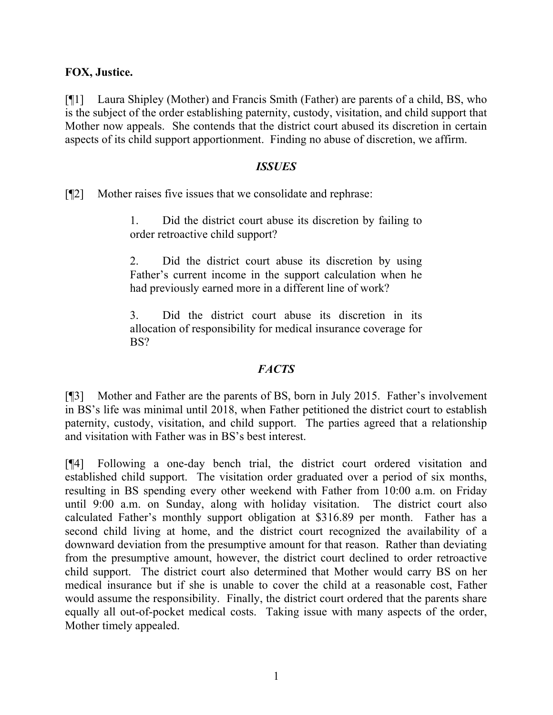## FOX, Justice.

[¶1] Laura Shipley (Mother) and Francis Smith (Father) are parents of a child, BS, who is the subject of the order establishing paternity, custody, visitation, and child support that Mother now appeals. She contends that the district court abused its discretion in certain aspects of its child support apportionment. Finding no abuse of discretion, we affirm.

### ISSUES

[¶2] Mother raises five issues that we consolidate and rephrase:

1. Did the district court abuse its discretion by failing to order retroactive child support?

2. Did the district court abuse its discretion by using Father's current income in the support calculation when he had previously earned more in a different line of work?

3. Did the district court abuse its discretion in its allocation of responsibility for medical insurance coverage for BS?

# **FACTS**

[¶3] Mother and Father are the parents of BS, born in July 2015. Father's involvement in BS's life was minimal until 2018, when Father petitioned the district court to establish paternity, custody, visitation, and child support. The parties agreed that a relationship and visitation with Father was in BS's best interest.

[¶4] Following a one-day bench trial, the district court ordered visitation and established child support. The visitation order graduated over a period of six months, resulting in BS spending every other weekend with Father from 10:00 a.m. on Friday until 9:00 a.m. on Sunday, along with holiday visitation. The district court also calculated Father's monthly support obligation at \$316.89 per month. Father has a second child living at home, and the district court recognized the availability of a downward deviation from the presumptive amount for that reason. Rather than deviating from the presumptive amount, however, the district court declined to order retroactive child support. The district court also determined that Mother would carry BS on her medical insurance but if she is unable to cover the child at a reasonable cost, Father would assume the responsibility. Finally, the district court ordered that the parents share equally all out-of-pocket medical costs. Taking issue with many aspects of the order, Mother timely appealed.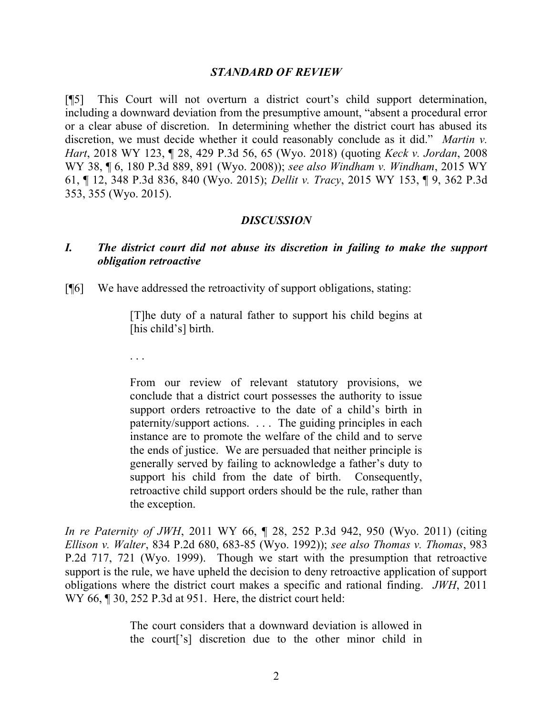#### STANDARD OF REVIEW

[¶5] This Court will not overturn a district court's child support determination, including a downward deviation from the presumptive amount, "absent a procedural error or a clear abuse of discretion. In determining whether the district court has abused its discretion, we must decide whether it could reasonably conclude as it did." *Martin v.* Hart, 2018 WY 123, ¶ 28, 429 P.3d 56, 65 (Wyo. 2018) (quoting Keck v. Jordan, 2008 WY 38, ¶ 6, 180 P.3d 889, 891 (Wyo. 2008)); see also Windham v. Windham, 2015 WY 61, ¶ 12, 348 P.3d 836, 840 (Wyo. 2015); Dellit v. Tracy, 2015 WY 153, ¶ 9, 362 P.3d 353, 355 (Wyo. 2015).

#### **DISCUSSION**

## I. The district court did not abuse its discretion in failing to make the support obligation retroactive

[¶6] We have addressed the retroactivity of support obligations, stating:

[T]he duty of a natural father to support his child begins at [his child's] birth.

. . .

From our review of relevant statutory provisions, we conclude that a district court possesses the authority to issue support orders retroactive to the date of a child's birth in paternity/support actions. . . . The guiding principles in each instance are to promote the welfare of the child and to serve the ends of justice. We are persuaded that neither principle is generally served by failing to acknowledge a father's duty to support his child from the date of birth. Consequently, retroactive child support orders should be the rule, rather than the exception.

In re Paternity of JWH, 2011 WY 66, ¶ 28, 252 P.3d 942, 950 (Wyo. 2011) (citing Ellison v. Walter, 834 P.2d 680, 683-85 (Wyo. 1992)); see also Thomas v. Thomas, 983 P.2d 717, 721 (Wyo. 1999). Though we start with the presumption that retroactive support is the rule, we have upheld the decision to deny retroactive application of support obligations where the district court makes a specific and rational finding. JWH, 2011 WY 66,  $\parallel$  30, 252 P.3d at 951. Here, the district court held:

> The court considers that a downward deviation is allowed in the court['s] discretion due to the other minor child in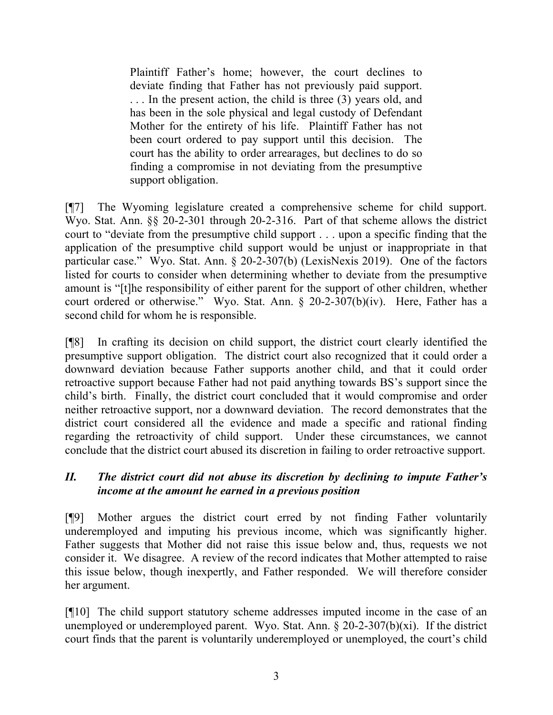Plaintiff Father's home; however, the court declines to deviate finding that Father has not previously paid support. . . . In the present action, the child is three (3) years old, and has been in the sole physical and legal custody of Defendant Mother for the entirety of his life. Plaintiff Father has not been court ordered to pay support until this decision. The court has the ability to order arrearages, but declines to do so finding a compromise in not deviating from the presumptive support obligation.

[¶7] The Wyoming legislature created a comprehensive scheme for child support. Wyo. Stat. Ann. §§ 20-2-301 through 20-2-316. Part of that scheme allows the district court to "deviate from the presumptive child support . . . upon a specific finding that the application of the presumptive child support would be unjust or inappropriate in that particular case." Wyo. Stat. Ann. § 20-2-307(b) (LexisNexis 2019). One of the factors listed for courts to consider when determining whether to deviate from the presumptive amount is "[t]he responsibility of either parent for the support of other children, whether court ordered or otherwise." Wyo. Stat. Ann. § 20-2-307(b)(iv). Here, Father has a second child for whom he is responsible.

[¶8] In crafting its decision on child support, the district court clearly identified the presumptive support obligation. The district court also recognized that it could order a downward deviation because Father supports another child, and that it could order retroactive support because Father had not paid anything towards BS's support since the child's birth. Finally, the district court concluded that it would compromise and order neither retroactive support, nor a downward deviation. The record demonstrates that the district court considered all the evidence and made a specific and rational finding regarding the retroactivity of child support. Under these circumstances, we cannot conclude that the district court abused its discretion in failing to order retroactive support.

# II. The district court did not abuse its discretion by declining to impute Father's income at the amount he earned in a previous position

[¶9] Mother argues the district court erred by not finding Father voluntarily underemployed and imputing his previous income, which was significantly higher. Father suggests that Mother did not raise this issue below and, thus, requests we not consider it. We disagree. A review of the record indicates that Mother attempted to raise this issue below, though inexpertly, and Father responded. We will therefore consider her argument.

[¶10] The child support statutory scheme addresses imputed income in the case of an unemployed or underemployed parent. Wyo. Stat. Ann. § 20-2-307(b)(xi). If the district court finds that the parent is voluntarily underemployed or unemployed, the court's child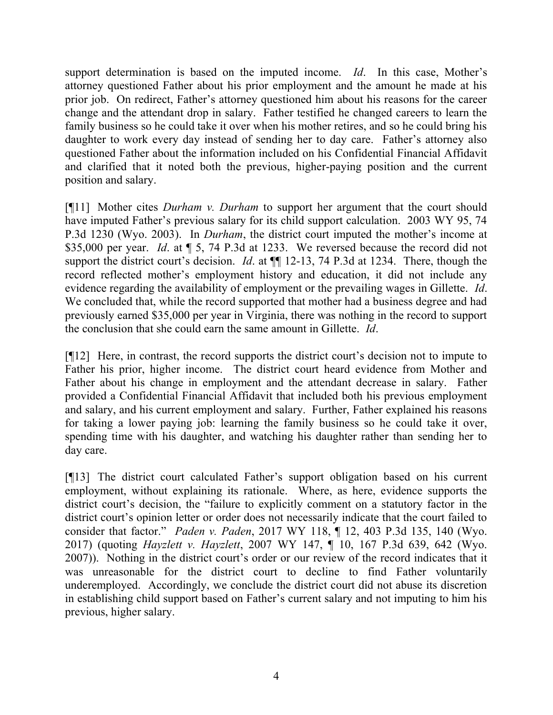support determination is based on the imputed income. Id. In this case, Mother's attorney questioned Father about his prior employment and the amount he made at his prior job. On redirect, Father's attorney questioned him about his reasons for the career change and the attendant drop in salary. Father testified he changed careers to learn the family business so he could take it over when his mother retires, and so he could bring his daughter to work every day instead of sending her to day care. Father's attorney also questioned Father about the information included on his Confidential Financial Affidavit and clarified that it noted both the previous, higher-paying position and the current position and salary.

[¶11] Mother cites *Durham v. Durham* to support her argument that the court should have imputed Father's previous salary for its child support calculation. 2003 WY 95, 74 P.3d 1230 (Wyo. 2003). In Durham, the district court imputed the mother's income at \$35,000 per year. Id. at  $\parallel$  5, 74 P.3d at 1233. We reversed because the record did not support the district court's decision. *Id.* at  $\P$  12-13, 74 P.3d at 1234. There, though the record reflected mother's employment history and education, it did not include any evidence regarding the availability of employment or the prevailing wages in Gillette. *Id*. We concluded that, while the record supported that mother had a business degree and had previously earned \$35,000 per year in Virginia, there was nothing in the record to support the conclusion that she could earn the same amount in Gillette. Id.

[¶12] Here, in contrast, the record supports the district court's decision not to impute to Father his prior, higher income. The district court heard evidence from Mother and Father about his change in employment and the attendant decrease in salary. Father provided a Confidential Financial Affidavit that included both his previous employment and salary, and his current employment and salary. Further, Father explained his reasons for taking a lower paying job: learning the family business so he could take it over, spending time with his daughter, and watching his daughter rather than sending her to day care.

[¶13] The district court calculated Father's support obligation based on his current employment, without explaining its rationale. Where, as here, evidence supports the district court's decision, the "failure to explicitly comment on a statutory factor in the district court's opinion letter or order does not necessarily indicate that the court failed to consider that factor." Paden v. Paden, 2017 WY 118, ¶ 12, 403 P.3d 135, 140 (Wyo. 2017) (quoting Hayzlett v. Hayzlett, 2007 WY 147, ¶ 10, 167 P.3d 639, 642 (Wyo. 2007)). Nothing in the district court's order or our review of the record indicates that it was unreasonable for the district court to decline to find Father voluntarily underemployed. Accordingly, we conclude the district court did not abuse its discretion in establishing child support based on Father's current salary and not imputing to him his previous, higher salary.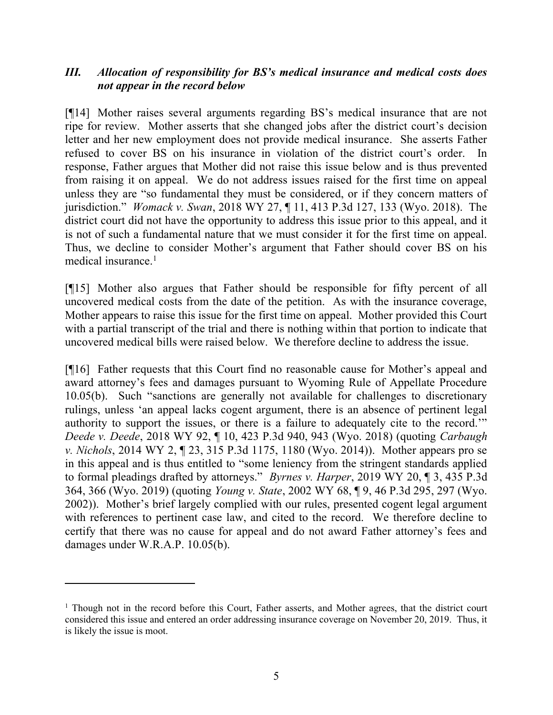# III. Allocation of responsibility for BS's medical insurance and medical costs does not appear in the record below

[¶14] Mother raises several arguments regarding BS's medical insurance that are not ripe for review. Mother asserts that she changed jobs after the district court's decision letter and her new employment does not provide medical insurance. She asserts Father refused to cover BS on his insurance in violation of the district court's order. In response, Father argues that Mother did not raise this issue below and is thus prevented from raising it on appeal. We do not address issues raised for the first time on appeal unless they are "so fundamental they must be considered, or if they concern matters of jurisdiction." Womack v. Swan, 2018 WY 27, ¶ 11, 413 P.3d 127, 133 (Wyo. 2018). The district court did not have the opportunity to address this issue prior to this appeal, and it is not of such a fundamental nature that we must consider it for the first time on appeal. Thus, we decline to consider Mother's argument that Father should cover BS on his medical insurance. $<sup>1</sup>$ </sup>

[¶15] Mother also argues that Father should be responsible for fifty percent of all uncovered medical costs from the date of the petition. As with the insurance coverage, Mother appears to raise this issue for the first time on appeal. Mother provided this Court with a partial transcript of the trial and there is nothing within that portion to indicate that uncovered medical bills were raised below. We therefore decline to address the issue.

[¶16] Father requests that this Court find no reasonable cause for Mother's appeal and award attorney's fees and damages pursuant to Wyoming Rule of Appellate Procedure 10.05(b). Such "sanctions are generally not available for challenges to discretionary rulings, unless 'an appeal lacks cogent argument, there is an absence of pertinent legal authority to support the issues, or there is a failure to adequately cite to the record.'" Deede v. Deede, 2018 WY 92, ¶ 10, 423 P.3d 940, 943 (Wyo. 2018) (quoting Carbaugh v. Nichols, 2014 WY 2, ¶ 23, 315 P.3d 1175, 1180 (Wyo. 2014)). Mother appears pro se in this appeal and is thus entitled to "some leniency from the stringent standards applied to formal pleadings drafted by attorneys." Byrnes v. Harper, 2019 WY 20, ¶ 3, 435 P.3d 364, 366 (Wyo. 2019) (quoting Young v. State, 2002 WY 68, ¶ 9, 46 P.3d 295, 297 (Wyo. 2002)). Mother's brief largely complied with our rules, presented cogent legal argument with references to pertinent case law, and cited to the record. We therefore decline to certify that there was no cause for appeal and do not award Father attorney's fees and damages under W.R.A.P. 10.05(b).

<sup>&</sup>lt;sup>1</sup> Though not in the record before this Court, Father asserts, and Mother agrees, that the district court considered this issue and entered an order addressing insurance coverage on November 20, 2019. Thus, it is likely the issue is moot.